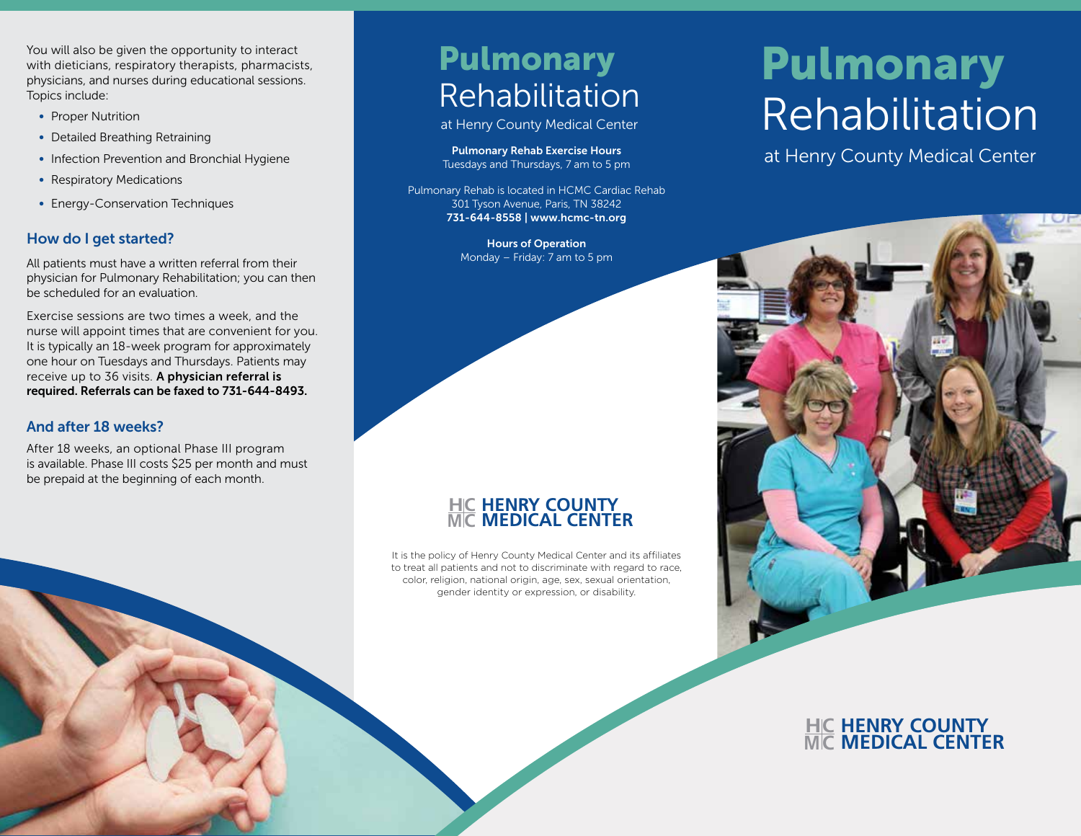You will also be given the opportunity to interact with dieticians, respiratory therapists, pharmacists, physicians, and nurses during educational sessions. Topics include:

- Proper Nutrition
- Detailed Breathing Retraining
- Infection Prevention and Bronchial Hygiene
- Respiratory Medications
- Energy-Conservation Techniques

## How do I get started?

All patients must have a written referral from their physician for Pulmonary Rehabilitation; you can then be scheduled for an evaluation.

Exercise sessions are two times a week, and the nurse will appoint times that are convenient for you. It is typically an 18-week program for approximately one hour on Tuesdays and Thursdays. Patients may receive up to 36 visits. A physician referral is required. Referrals can be faxed to 731-644-8493.

### And after 18 weeks?

After 18 weeks, an optional Phase III program is available. Phase III costs \$25 per month and must be prepaid at the beginning of each month.

## Pulmonary Rehabilitation

at Henry County Medical Center

Pulmonary Rehab Exercise Hours Tuesdays and Thursdays, 7 am to 5 pm

Pulmonary Rehab is located in HCMC Cardiac Rehab 301 Tyson Avenue, Paris, TN 38242 731-644-8558 | www.hcmc-tn.org

> Hours of Operation Monday – Friday: 7 am to 5 pm

#### **H M HENRY COUNTY MEDICAL CENTER C C**

It is the policy of Henry County Medical Center and its affiliates to treat all patients and not to discriminate with regard to race, color, religion, national origin, age, sex, sexual orientation, gender identity or expression, or disability.

# Pulmonary Rehabilitation

at Henry County Medical Center



#### **H M HENRY COUNTY MEDICAL CENTER C C**